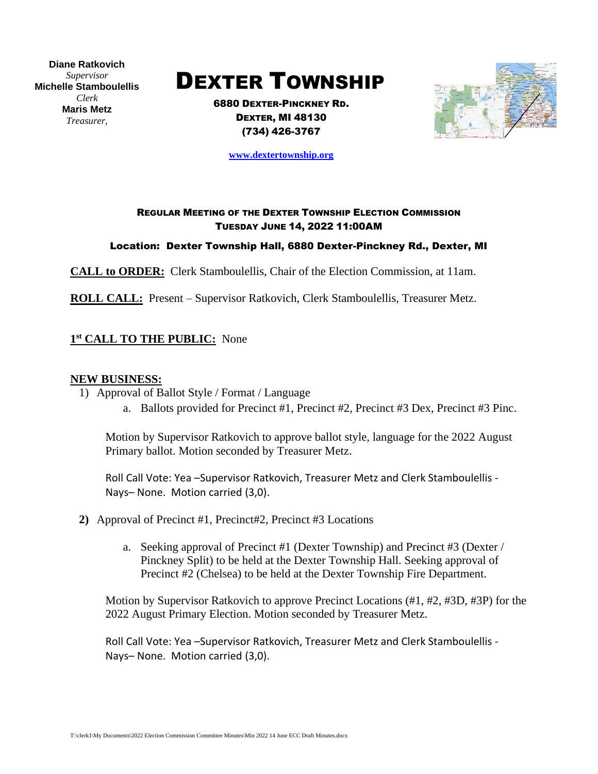**Diane Ratkovich** *Supervisor* **Michelle Stamboulellis** *Clerk* **Maris Metz** *Treasurer*,

# DEXTER TOWNSHIP

6880 DEXTER-PINCKNEY RD. DEXTER, MI 48130 (734) 426-3767



**[www.dextertownship.org](http://www.dextertownship.org/)**

## REGULAR MEETING OF THE DEXTER TOWNSHIP ELECTION COMMISSION TUESDAY JUNE 14, 2022 11:00AM

Location: Dexter Township Hall, 6880 Dexter-Pinckney Rd., Dexter, MI

**CALL to ORDER:** Clerk Stamboulellis, Chair of the Election Commission, at 11am.

**ROLL CALL:** Present – Supervisor Ratkovich, Clerk Stamboulellis, Treasurer Metz.

## **1 st CALL TO THE PUBLIC:** None

### **NEW BUSINESS:**

- 1) Approval of Ballot Style / Format / Language
	- a. Ballots provided for Precinct #1, Precinct #2, Precinct #3 Dex, Precinct #3 Pinc.

Motion by Supervisor Ratkovich to approve ballot style, language for the 2022 August Primary ballot. Motion seconded by Treasurer Metz.

Roll Call Vote: Yea –Supervisor Ratkovich, Treasurer Metz and Clerk Stamboulellis - Nays– None. Motion carried (3,0).

- **2)** Approval of Precinct #1, Precinct#2, Precinct #3 Locations
	- a. Seeking approval of Precinct #1 (Dexter Township) and Precinct #3 (Dexter / Pinckney Split) to be held at the Dexter Township Hall. Seeking approval of Precinct #2 (Chelsea) to be held at the Dexter Township Fire Department.

Motion by Supervisor Ratkovich to approve Precinct Locations (#1, #2, #3D, #3P) for the 2022 August Primary Election. Motion seconded by Treasurer Metz.

Roll Call Vote: Yea –Supervisor Ratkovich, Treasurer Metz and Clerk Stamboulellis - Nays– None. Motion carried (3,0).